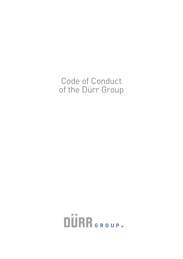# Code of Conduct of the Dürr Group

**DURR** GROUP.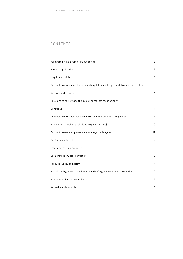## CONTENTS

| Foreword by the Board of Management                                            | 2               |
|--------------------------------------------------------------------------------|-----------------|
| Scope of application                                                           | 3               |
| Legality principle                                                             | 4               |
| Conduct towards shareholders and capital market representatives, insider rules | 5               |
| Records and reports                                                            | 6               |
| Relations to society and the public, corporate responsibility                  | 6               |
| Donations                                                                      | 7               |
| Conduct towards business partners, competitors and third parties               | 7               |
| International business relations (export controls)                             | 10 <sup>°</sup> |
| Conduct towards employees and amongst colleagues                               | 11              |
| Conflicts of interest                                                          | 12              |
| Treatment of Dürr property                                                     | 13              |
| Data protection, confidentiality                                               | 13              |
| Product quality and safety                                                     | 14              |
| Sustainability, occupational health and safety, environmental protection       | 15              |
| Implementation and compliance                                                  | 16              |
| Remarks and contacts                                                           | 16              |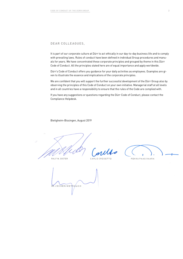## DEAR COLLEAGUES,

It is part of our corporate culture at Dürr to act ethically in our day-to-day business life and to comply with prevailing laws. Rules of conduct have been defined in individual Group procedures and manuals for years. We have concentrated these corporate principles and grouped by theme in this Dürr Code of Conduct. All the principles stated here are of equal importance and apply worldwide.

Dürr's Code of Conduct offers you guidance for your daily activities as employees. Examples are given to illustrate the essence and implications of the corporate principles.

We are confident that you will support the further successful development of the Dürr Group also by observing the principles of this Code of Conduct on your own initiative. Managerial staff at all levels and in all countries have a responsibility to ensure that the rules of the Code are complied with.

If you have any suggestions or questions regarding the Dürr Code of Conduct, please contact the Compliance Helpdesk.

Bietigheim-Bissingen, August 2019

RALF W. DIETER

CARLO CROSETTO

PEKKA PAASIVAARA

RAUCH JOCHEN WEY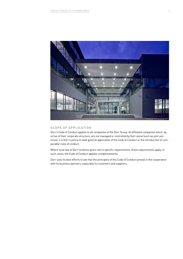

## SCOPE OF APPLICATION

Dürr's Code of Conduct applies to all companies of the Dürr Group. At affiliated companies which, by virtue of their corporate structure, are not managed or controlled by Dürr alone (such as joint ventures), it is Dürr's policy to seek general application of the Code of Conduct or the introduction of comparable rules of conduct.

Where local law at Dürr locations gives rise to specific requirements, those requirements apply; in such cases, the Code of Conduct applies complementarily.

Dürr uses its best efforts to see that the principles of this Code of Conduct prevail in the cooperation with its business partners, especially its customers and suppliers.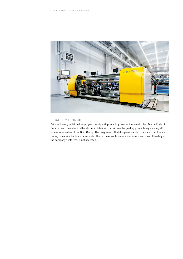

## LEGALITY PRINCIPLE

Dürr and every individual employee comply with prevailing laws and internal rules. Dürr's Code of Conduct and the rules of ethical conduct defined therein are the guiding principles governing all business activities of the Dürr Group. The "argument" that it is permissible to deviate from the prevailing rules in individual instances for the purposes of business successes, and thus ultimately in the company's interest, is not accepted.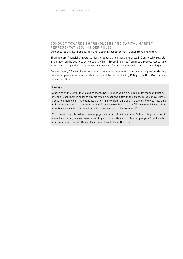## CONDUCT TOWARDS SHARFHOLDERS AND CAPITAL MARKET REPRESENTATIVES, INSIDER RULES

Dürr ensures that its financial reporting is soundly based, correct, transparent, and timely.

Shareholders, financial analysts, lenders, creditors, and others interested in Dürr receive reliable information on the business activities of the Dürr Group. Enquiries from media representatives and other interested parties are answered by Corporate Communications with due care and diligence.

Dürr and every Dürr employee comply with the statutory regulations for preventing insider dealing. Dürr employees can access the latest version of the Insider Trading Policy of the Dürr Group at any time on DÜRRnet.

#### Example:

A good friend tells you that his Dürr shares have risen in value since he bought them and that he intends to sell them in order to buy his wife an expensive gift with the proceeds. You know Dürr is about to announce an important acquisition in a few days' time and this event is likely to have a positive effect on the share price. As a good friend you would like to say: "If I were you I'd wait a few days before you sell; then you'll be able to buy yourself a nice treat, too!"

You may not use this insider knowledge yourself or divulge it to others. By breaching the rules of securities trading law, you are committing a criminal offence. In this example, your friend would also commit a criminal offence. This conduct would harm Dürr, too.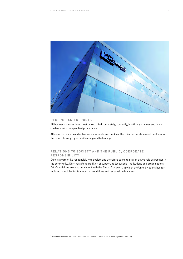

#### RECORDS AND REPORTS

All business transactions must be recorded completely, correctly, in a timely manner and in accordance with the specified procedures.

All records, reports and entries in documents and books of the Dürr corporation must conform to the principles of proper bookkeeping and balancing.

## RELATIONS TO SOCIETY AND THE PUBLIC, CORPORATE RESPONSIBILITY

Dürr is aware of its responsibility to society and therefore seeks to play an active role as partner in the community. Dürr has a long tradition of supporting local social institutions and organisations. Dürr's activities are also consistent with the Global Compact<sup>1</sup>, in which the United Nations has formulated principles for fair working conditions and responsible business.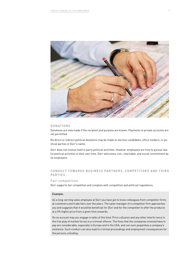

#### **DONATIONS**

Donations are only made if the recipient and purpose are known. Payments to private accounts are not permitted.

No direct or indirect political donations may be made to election candidates, office-holders, or political parties in Dürr's name.

Dürr does not involve itself in party political activities. However employees are free to pursue lawful political activities in their own time. Dürr welcomes civic, charitable, and social commitment by its employees.

## CONDUCT TOWARDS BUSINESS PARTNERS, COMPETITORS AND THIRD PARTIES

#### Fair competition

Dürr supports fair competition and complies with competition and antitrust regulations.

#### Example:

As a long-serving sales employee at Dürr you have got to know colleagues from competitor firms at customers and trade fairs over the years. The sales manager of a competitor firm approaches you and suggests that it would be beneficial for Dürr and for the competitor to offer the products at a 5% higher price from a given time onwards.

On no account may you engage in talks of this kind. Price collusion and any other interfe rence in the free play of market forces is a criminal offence. The fines that the companies involved have to pay are considerable, especially in Europe and in the USA, and can even jeopardise a company's existence. Such conduct can also lead to criminal proceedings and employment consequences for the persons colluding.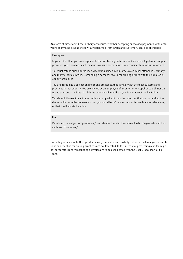Any form of direct or indirect bribery or favours, whether accepting or making payments, gifts or favours of any kind beyond the lawfully permitted framework and customary scale, is prohibited.

#### Examples:

In your job at Dürr you are responsible for purchasing materials and services. A potential supplier promises you a season ticket for your favourite soccer club if you consider him for future orders.

You must refuse such approaches. Accepting bribes in industry is a criminal offence in Germany and many other countries. Demanding a personal favour for placing orders with this supplier is equally prohibited.

You are abroad as a project engineer and are not all that familiar with the local customs and practices in that country. You are invited by an employee of a customer or supplier to a dinner party and are concerned that it might be considered impolite if you do not accept the invitation.

You should discuss this situation with your superior. It must be ruled out that your attending the dinner will create the impression that you would be influenced in your future business decisions, or that it will violate local law.

## Note:

Details on the subject of "purchasing" can also be found in the relevant valid Organisational Instructions "Purchasing".

Our policy is to promote Dürr products fairly, honestly, and lawfully. False or misleading representations or deceptive marketing practices are not tolerated. In the interest of presenting a uniform global corporate identity marketing activities are to be coordinated with the Dürr Global Marketing Team.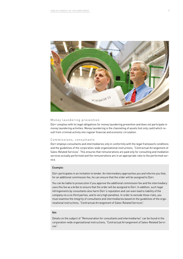

#### Money laundering prevention

Dürr complies with its legal obligations for money laundering prevention and does not participate in money laundering activities. Money laundering is the channeling of assets (not only cash) which result from criminal activity into regular financial and economic circulation.

#### Commissions, consultants

Dürr employs consultants and intermediaries only in conformity with the legal framework conditions and the guidelines of the corporation-wide organizational instructions, "Contractual Arrangement of Sales-Related Services". This ensures that remunerations are paid only for consulting and mediation services actually performed and the remunerations are in an appropriate ratio to the performed service.

#### Example:

Dürr participates in an invitation to tender. An intermediary approaches you and informs you that, for an additional commission fee, he can ensure that the order will be assigned to Dürr.

You can be liable to prosecution if you approve the additional commission fee and the intermediary uses this fee as a bribe to ensure that the order will be assigned to Dürr. In addition, such legal infringements by consultants also harm Dürr's reputation and can even lead to liability of the company vis a vis third parties, and to very high penalties. In order to exclude these risks, you must examine the integrity of consultants and intermediaries based on the guidelines of the organizational instructions, "Contractual Arrangement of Sales-Related Services".

#### Note:

Details on the subject of "Remuneration for consultants and intermediaries" can be found in the corporation-wide organizational instructions, "Contractual Arrangement of Sales-Related Services".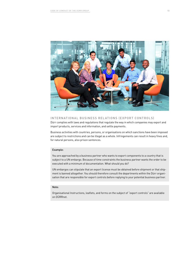

#### INTERNATIONAL BUSINESS RELATIONS (EXPORT CONTROLS)

Dürr complies with laws and regulations that regulate the way in which companies may export and import products, services and information, and settle payments.

Business activities with countries, persons, or organisations on which sanctions have been imposed are subject to restrictions and can be illegal as a whole. Infringements can result in heavy fines and, for natural persons, also prison sentences.

#### Example:

You are approached by a business partner who wants to export components to a country that is subject to a UN embargo. Because of time constraints the business partner wants the order to be executed with a minimum of documentation. What should you do?

UN embargos can stipulate that an export license must be obtained before shipment or that shipment is banned altogether. You should therefore consult the departments within the Dürr organisation that are responsible for export controls before replying to your potential business partner.

#### Note:

Organisational Instructions, leaflets, and forms on the subject of "export controls" are available on DÜRRnet.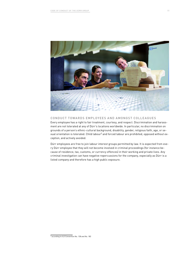

### CONDUCT TOWARDS EMPLOYEES AND AMONGST COLLEAGUES

Every employee has a right to fair treatment, courtesy, and respect. Discrimination and harassment are not tolerated at any of Dürr's locations worldwide. In particular, no discrimination on grounds of a person's ethnic-cultural background, disability, gender, religious faith, age, or sexual orientation is tolerated. Child labour<sup>2</sup> and forced labour are prohibited, opposed without exception, and actively avoided.

Dürr employees are free to join labour interest groups permitted by law. It is expected from every Dürr employee that they will not become involved in criminal proceedings (for instance because of residence, tax, customs, or currency offences) in their working and private lives. Any criminal investigation can have negative repercussions for the company, especially as Dürr is a listed company and therefore has a high public exposure.

<sup>2</sup> according to ILO Convention No. 138 and No. 182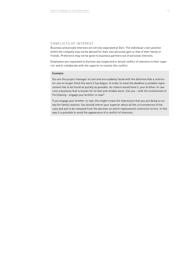## CONFLICTS OF INTEREST

Business and private interests are strictly separated at Dürr. The individual's own position within the company may not be abused for their own personal gain or that of their family or friends. Preference may not be given to business partners out of personal interests.

Employees are requested to disclose any suspected or actual conflict of interests to their superior and to collaborate with the superior to resolve this conflict.

#### Example:

You are the project manager on site and are suddenly faced with the dilemma that a contractor can no longer finish the work it has begun. In order to meet the deadline a suitable replacement has to be found as quickly as possible. As chance would have it, your brother-in-law runs a business that is known for its fast and reliable work. Can you – with the involvement of Purchasing – engage your brother-in-law?

If you engage your brother-in-law, this might create the impression that you are doing so solely for family reasons. You should inform your superior about all the circumstances of the case and ask to be released from the decision on which replacement contractor to hire. In this way it is possible to avoid the appearance of a conflict of interests.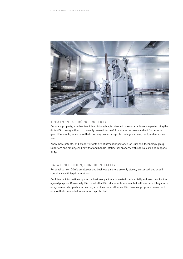

## TREATMENT OF DÜRR PROPERTY

Company property, whether tangible or intangible, is intended to assist employees in performing the duties Dürr assigns them. It may only be used for lawful business purposes and not for personal gain. Dürr employees ensure that company property is protected against loss, theft, and improper use.

Know-how, patents, and property rights are of utmost importance for Dürr as a technology group. Superiors and employees know that and handle intellectual property with special care and responsibility.

## DATA PROTECTION, CONFIDENTIALITY

Personal data on Dürr's employees and business partners are only stored, processed, and used in compliance with legal regulations.

Confidential information supplied by business partners is treated confidentially and used only for the agreed purpose. Conversely, Dürr trusts that Dürr documents are handled with due care. Obligations or agreements for particular secrecy are observed at all times. Dürr takes appropriate measures to ensure that confidential information is protected.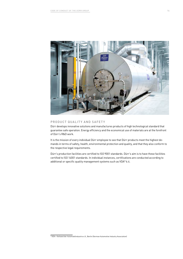

## PRODUCT QUALITY AND SAFETY

Dürr develops innovative solutions and manufactures products of high technological standard that guarantee safe operation. Energy efficiency and the economical use of materials are at the forefront of Dürr's R&D work.

It is the mission of every individual Dürr employee to see that Dürr products meet the highest demands in terms of safety, health, environmental protection and quality, and that they also conform to the respective legal requirements.

Dürr's production facilities are certified to ISO 9001 standards. Dürr's aim is to have these facilities certified to ISO 14001 standards. In individual instances, certifications are conducted according to additional or specific quality management systems such as VDA<sup>3</sup> 6.4.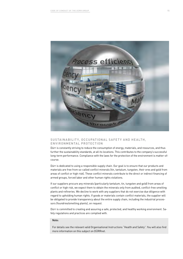

## SUSTAINABILITY, OCCUPATIONAL SAFETY AND HEALTH, ENVIRONMENTAL PROTECTION

Dürr is constantly striving to reduce the consumption of energy, materials, and resources, and thus further the sustainability standards, at all its locations. This contributes to the company's successful long-term performance. Compliance with the laws for the protection of the environment is matter-ofcourse.

Dürr is dedicated to using a responsible supply chain. Our goal is to ensure that our products and materials are free from so-called conflict minerals (tin, tantalum, tungsten, their ores and gold from areas of conflict or high risk). These conflict minerals contribute to the direct or indirect financing of armed groups, forced labor and other human rights violations.

If our suppliers procure any minerals (particularly tantalum, tin, tungsten and gold) from areas of conflict or high risk, we expect them to obtain the minerals only from audited, conflict-free smelting plants and refineries. We decline to work with any suppliers that do not exercise due diligence with regard to upholding human rights. If goods or materials contain conflict materials, the supplier will be obligated to provide transparency about the entire supply chain, including the industrial processors (foundries/smelting plants), on request.

Dürr is committed to creating and assuring a safe, protected, and healthy working environment. Safety regulations and practices are complied with.

#### Note:

For details see the relevant valid Organisational Instructions "Health and Safety". You will also find more information on this subject on DÜRRnet.